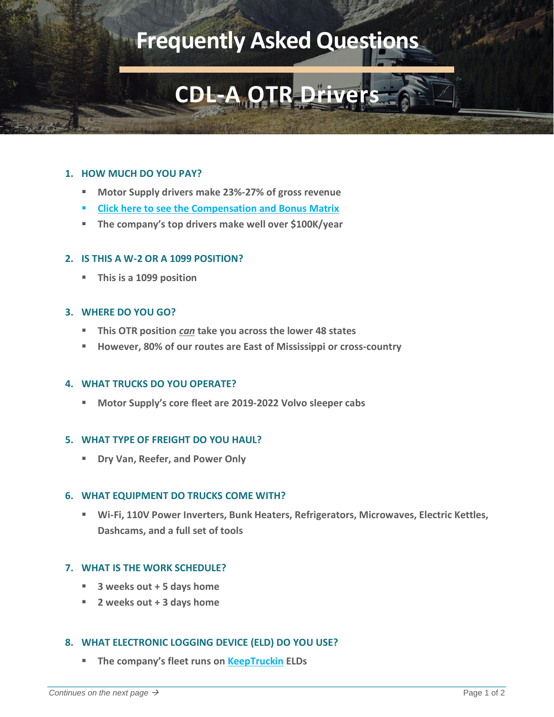# **Frequently Asked Questions**

# **CDL-A OTR Dri**

# **1. HOW MUCH DO YOU PAY?**

- **Motor Supply drivers make 23%-27% of gross revenue**
- **[Click here to see the Compensation and Bonus Matrix](https://www.motor-supply.com/_files/ugd/014ed8_02ba3232925c4551a65d4380c0f4a905.pdf)**
- **The company's top drivers make well over \$100K/year**

# **2. IS THIS A W-2 OR A 1099 POSITION?**

▪ **This is a 1099 position**

## **3. WHERE DO YOU GO?**

- This OTR position *can* take you across the lower 48 states
- **However, 80% of our routes are East of Mississippi or cross-country**

#### **4. WHAT TRUCKS DO YOU OPERATE?**

▪ **Motor Supply's core fleet are 2019-2022 Volvo sleeper cabs**

# **5. WHAT TYPE OF FREIGHT DO YOU HAUL?**

▪ **Dry Van, Reefer, and Power Only**

#### **6. WHAT EQUIPMENT DO TRUCKS COME WITH?**

■ Wi-Fi, 110V Power Inverters, Bunk Heaters, Refrigerators, Microwaves, Electric Kettles, **Dashcams, and a full set of tools**

# **7. WHAT IS THE WORK SCHEDULE?**

- **3 weeks out + 5 days home**
- **2 weeks out + 3 days home**

# **8. WHAT ELECTRONIC LOGGING DEVICE (ELD) DO YOU USE?**

▪ **The company's fleet runs on [KeepTruckin](https://www.youtube.com/watch?v=LAu9HBZKbCE&list=PLku95dwqjWZu6YfWYkBad_b0gjy3j_Evd&index=11) ELDs**